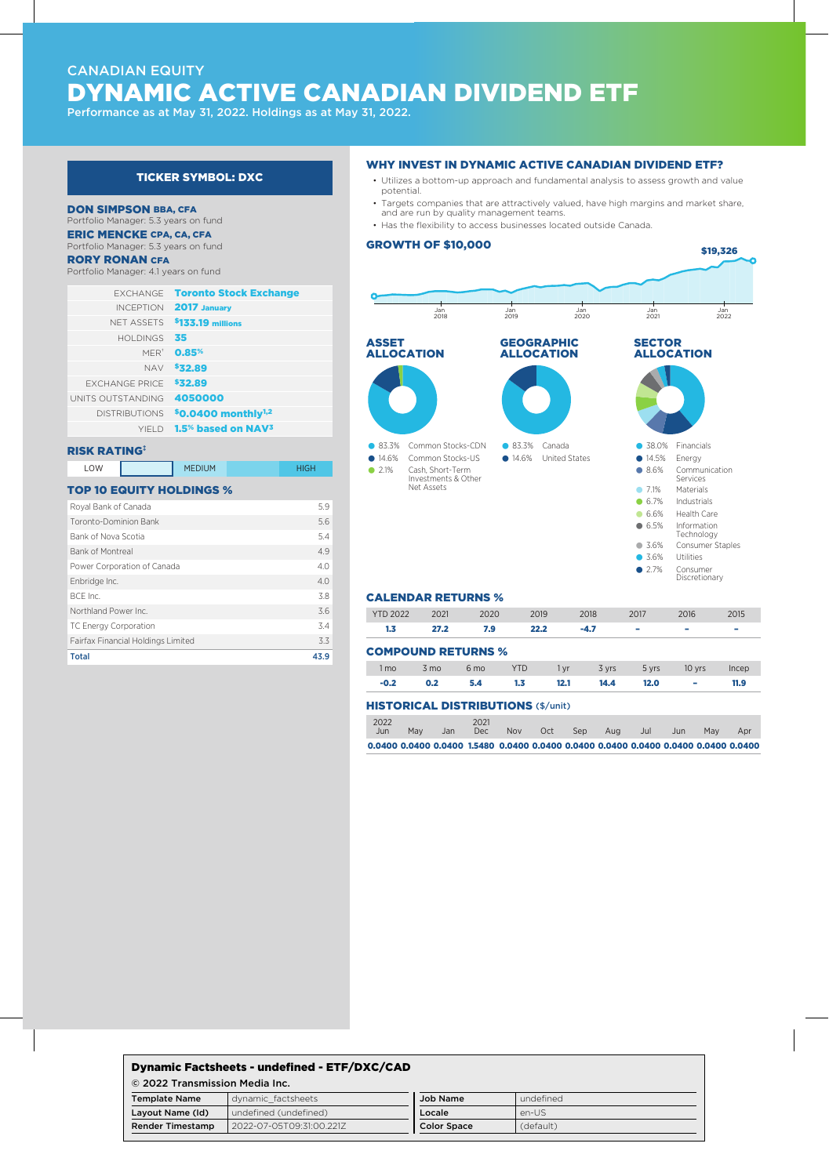# CANADIAN EQUITY DYNAMIC ACTIVE CANADIAN DIVIDEND ETF

Performance as at May 31, 2022. Holdings as at May 31, 2022.

## TICKER SYMBOL: DXC

#### DON SIMPSON BBA, CFA

Portfolio Manager: 5.3 years on fund

ERIC MENCKE CPA, CA, CFA Portfolio Manager: 5.3 years on fund

### RORY RONAN CFA

Portfolio Manager: 4.1 years on fund

|                       | <b>EXCHANGE</b> Toronto Stock Exchange           |
|-----------------------|--------------------------------------------------|
|                       | <b>INCEPTION 2017 January</b>                    |
|                       | NFT ASSETS \$133.19 millions                     |
| HOI DINGS             | 35                                               |
| $MFR+$                | 0.85%                                            |
| <b>NAV</b>            | \$32.89                                          |
| <b>FXCHANGE PRICE</b> | \$32.89                                          |
| UNITS OUTSTANDING     | 4050000                                          |
| <b>DISTRIBUTIONS</b>  | \$0.0400 monthly $1,2$                           |
|                       | YIELD 1.5 <sup>%</sup> based on NAV <sup>3</sup> |

## RISK RATING‡

LOW MEDIUM HIGH

## TOP 10 EQUITY HOLDINGS %

| 5.9  |
|------|
| 5.6  |
| 5.4  |
| 4.9  |
| 4.0  |
| 4.0  |
| 3.8  |
| 3.6  |
| 3.4  |
| 3.3  |
| 43.9 |
|      |

## WHY INVEST IN DYNAMIC ACTIVE CANADIAN DIVIDEND ETF?

- Utilizes a bottom-up approach and fundamental analysis to assess growth and value potential.
- Targets companies that are attractively valued, have high margins and market share, and are run by quality management teams.
- Has the flexibility to access businesses located outside Canada.

## GROWTH OF \$10,000



## CALENDAR RETURNS %

| <b>YTD 2022</b>                           | 2021           | 2020            | 2019       | 2018 |        | 2017  | 2016   | 2015  |
|-------------------------------------------|----------------|-----------------|------------|------|--------|-------|--------|-------|
| 1.3                                       | 27.2           | 7.9             | 22.2       |      | $-4.7$ | -     | -      | -     |
| <b>COMPOUND RETURNS %</b>                 |                |                 |            |      |        |       |        |       |
| 1 <sub>mo</sub>                           | $3 \text{ mo}$ | 6 <sub>mo</sub> | <b>YTD</b> | 1 yr | 3 yrs  | 5 yrs | 10 yrs | Incep |
| $-0.2$                                    | 0.2            | 5.4             | 1.3        | 12.1 | 14.4   | 12.0  | ٠      | 11.9  |
| <b>HISTORICAL DISTRIBUTIONS (\$/unit)</b> |                |                 |            |      |        |       |        |       |

|             |     | 0.0400 0.0400 0.0400 1.5480 0.0400 0.0400 0.0400 0.0400 0.0400 0.0400 0.0400 0.0400 |               |            |     |            |     |     |      |     |     |
|-------------|-----|-------------------------------------------------------------------------------------|---------------|------------|-----|------------|-----|-----|------|-----|-----|
| 2022<br>Jun | Mav | .Jan                                                                                | 2021<br>Dec - | <b>Nov</b> | Oct | <b>Sep</b> | Aug | Jul | Jun. | May | Apr |
|             |     | FIB I URICAL DISTRIBUTIONS (\$/UIIIL)                                               |               |            |     |            |     |     |      |     |     |